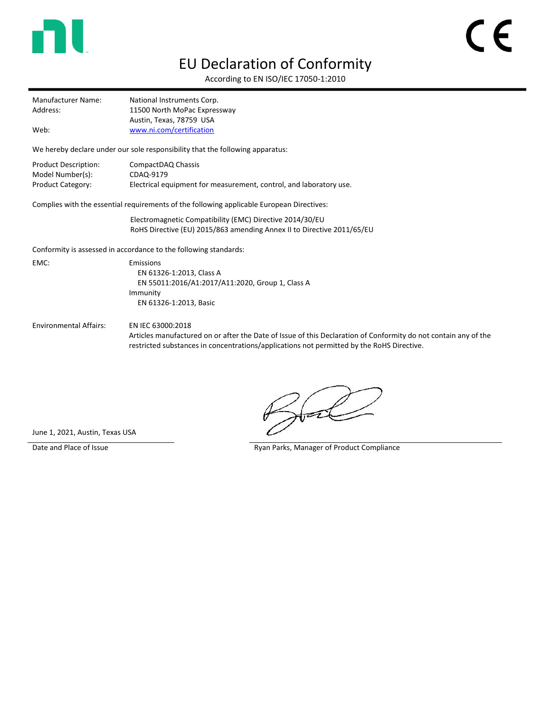

## EU Declaration of Conformity

According to EN ISO/IEC 17050-1:2010

| <b>Manufacturer Name:</b> | National Instruments Corp.   |
|---------------------------|------------------------------|
| Address:                  | 11500 North MoPac Expressway |
|                           | Austin, Texas, 78759 USA     |
| Web:                      | www.ni.com/certification     |

We hereby declare under our sole responsibility that the following apparatus:

| Product Description:     | CompactDAQ Chassis                                                 |
|--------------------------|--------------------------------------------------------------------|
| Model Number(s):         | CDAQ-9179                                                          |
| <b>Product Category:</b> | Electrical equipment for measurement, control, and laboratory use. |

Complies with the essential requirements of the following applicable European Directives:

Electromagnetic Compatibility (EMC) Directive 2014/30/EU RoHS Directive (EU) 2015/863 amending Annex II to Directive 2011/65/EU

Conformity is assessed in accordance to the following standards:

EMC: Emissions EN 61326-1:2013, Class A EN 55011:2016/A1:2017/A11:2020, Group 1, Class A Immunity EN 61326-1:2013, Basic

Environmental Affairs: EN IEC 63000:2018

Articles manufactured on or after the Date of Issue of this Declaration of Conformity do not contain any of the restricted substances in concentrations/applications not permitted by the RoHS Directive.

June 1, 2021, Austin, Texas USA

Date and Place of Issue **Ryan Parks, Manager of Product Compliance**